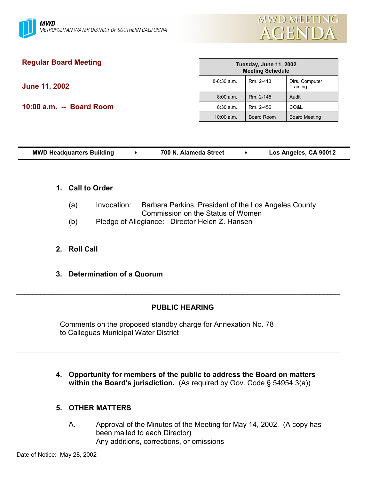

# **Regular Board Meeting**

**June 11, 2002**

**10:00 a.m. -- Board Room**

|                 | Tuesday, June 11, 2002<br><b>Meeting Schedule</b> |                            |
|-----------------|---------------------------------------------------|----------------------------|
| $8 - 8:30$ a.m. | Rm. 2-413                                         | Dirs. Computer<br>Training |
| 8:00 a.m.       | Rm. 2-145                                         | Audit                      |
| 8:30 a.m.       | Rm. 2-456                                         | CO&L                       |
| $10:00$ a.m.    | <b>Board Room</b>                                 | <b>Board Meeting</b>       |

| Los Angeles, CA 90012<br><b>MWD Headquarters Building</b><br>700 N. Alameda Street |  |
|------------------------------------------------------------------------------------|--|
|------------------------------------------------------------------------------------|--|

- **1. Call to Order**
	- (a) Invocation: Barbara Perkins, President of the Los Angeles County Commission on the Status of Women
	- (b) Pledge of Allegiance: Director Helen Z. Hansen
- **2. Roll Call**
- **3. Determination of a Quorum**

# **PUBLIC HEARING**

 $\_$ 

 $\_$ 

Comments on the proposed standby charge for Annexation No. 78 to Calleguas Municipal Water District

# **4. Opportunity for members of the public to address the Board on matters within the Board's jurisdiction.** (As required by Gov. Code § 54954.3(a))

# **5. OTHER MATTERS**

A. Approval of the Minutes of the Meeting for May 14, 2002. (A copy has been mailed to each Director) Any additions, corrections, or omissions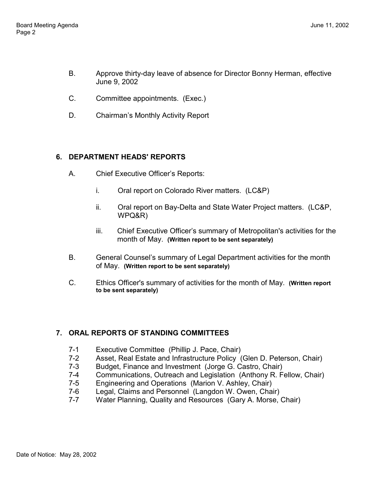- B. Approve thirty-day leave of absence for Director Bonny Herman, effective June 9, 2002
- C. Committee appointments. (Exec.)
- D. Chairman's Monthly Activity Report

# **6. DEPARTMENT HEADS' REPORTS**

- A. Chief Executive Officer's Reports:
	- i. Oral report on Colorado River matters. (LC&P)
	- ii. Oral report on Bay-Delta and State Water Project matters. (LC&P, WPQ&R)
	- iii. Chief Executive Officer's summary of Metropolitan's activities for the month of May. **(Written report to be sent separately)**
- B. General Counsel's summary of Legal Department activities for the month of May. **(Written report to be sent separately)**
- C. Ethics Officer's summary of activities for the month of May. **(Written report to be sent separately)**

# **7. ORAL REPORTS OF STANDING COMMITTEES**

- 7-1 Executive Committee (Phillip J. Pace, Chair)
- 7-2 Asset, Real Estate and Infrastructure Policy (Glen D. Peterson, Chair)
- 7-3 Budget, Finance and Investment (Jorge G. Castro, Chair)
- 7-4 Communications, Outreach and Legislation (Anthony R. Fellow, Chair)
- 7-5 Engineering and Operations (Marion V. Ashley, Chair)
- 7-6 Legal, Claims and Personnel (Langdon W. Owen, Chair)
- 7-7 Water Planning, Quality and Resources (Gary A. Morse, Chair)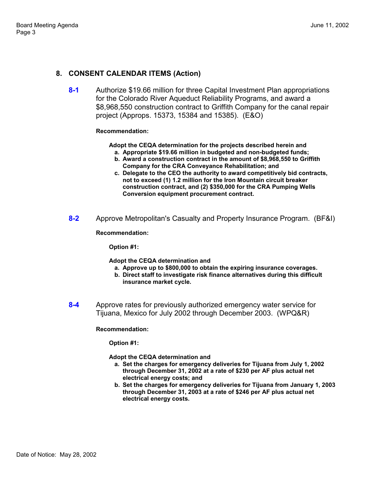### **8. CONSENT CALENDAR ITEMS (Action)**

**8-1** Authorize \$19.66 million for three Capital Investment Plan appropriations for the Colorado River Aqueduct Reliability Programs, and award a \$8,968,550 construction contract to Griffith Company for the canal repair project (Approps. 15373, 15384 and 15385). (E&O)

#### **Recommendation:**

**Adopt the CEQA determination for the projects described herein and**

- **a. Appropriate \$19.66 million in budgeted and non-budgeted funds;**
- **b. Award a construction contract in the amount of \$8,968,550 to Griffith Company for the CRA Conveyance Rehabilitation; and**
- **c. Delegate to the CEO the authority to award competitively bid contracts, not to exceed (1) 1.2 million for the Iron Mountain circuit breaker construction contract, and (2) \$350,000 for the CRA Pumping Wells Conversion equipment procurement contract.**
- **8-2** Approve Metropolitan's Casualty and Property Insurance Program. (BF&I)

**Recommendation:**

**Option #1:**

**Adopt the CEQA determination and**

- **a. Approve up to \$800,000 to obtain the expiring insurance coverages.**
- **b. Direct staff to investigate risk finance alternatives during this difficult insurance market cycle.**
- **8-4** Approve rates for previously authorized emergency water service for Tijuana, Mexico for July 2002 through December 2003. (WPQ&R)

#### **Recommendation:**

**Option #1:**

**Adopt the CEQA determination and**

- **a. Set the charges for emergency deliveries for Tijuana from July 1, 2002 through December 31, 2002 at a rate of \$230 per AF plus actual net electrical energy costs; and**
- **b. Set the charges for emergency deliveries for Tijuana from January 1, 2003 through December 31, 2003 at a rate of \$246 per AF plus actual net electrical energy costs.**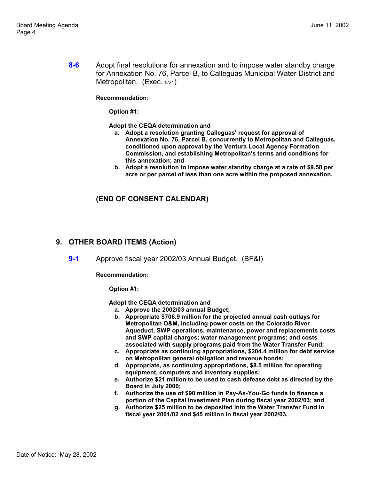**8-6** Adopt final resolutions for annexation and to impose water standby charge for Annexation No. 76, Parcel B, to Calleguas Municipal Water District and Metropolitan. (Exec. 5/21)

**Recommendation:**

**Option #1:**

**Adopt the CEQA determination and**

- **a. Adopt a resolution granting Calleguas' request for approval of Annexation No. 76, Parcel B, concurrently to Metropolitan and Calleguas, conditioned upon approval by the Ventura Local Agency Formation Commission, and establishing Metropolitan's terms and conditions for this annexation; and**
- **b. Adopt a resolution to impose water standby charge at a rate of \$9.58 per acre or per parcel of less than one acre within the proposed annexation.**

### **(END OF CONSENT CALENDAR)**

## **9. OTHER BOARD ITEMS (Action)**

**9-1** Approve fiscal year 2002/03 Annual Budget. (BF&I)

**Recommendation:**

**Option #1:**

**Adopt the CEQA determination and**

- **a. Approve the 2002/03 annual Budget;**
- **b. Appropriate \$706.9 million for the projected annual cash outlays for Metropolitan O&M, including power costs on the Colorado River Aqueduct, SWP operations, maintenance, power and replacements costs and SWP capital charges; water management programs; and costs associated with supply programs paid from the Water Transfer Fund;**
- **c. Appropriate as continuing appropriations, \$204.4 million for debt service on Metropolitan general obligation and revenue bonds;**
- **d. Appropriate, as continuing appropriations, \$8.5 million for operating equipment, computers and inventory supplies;**
- **e. Authorize \$21 million to be used to cash defease debt as directed by the Board in July 2000;**
- **f. Authorize the use of \$90 million in Pay-As-You-Go funds to finance a portion of the Capital Investment Plan during fiscal year 2002/03; and**
- **g. Authorize \$25 million to be deposited into the Water Transfer Fund in fiscal year 2001/02 and \$45 million in fiscal year 2002/03.**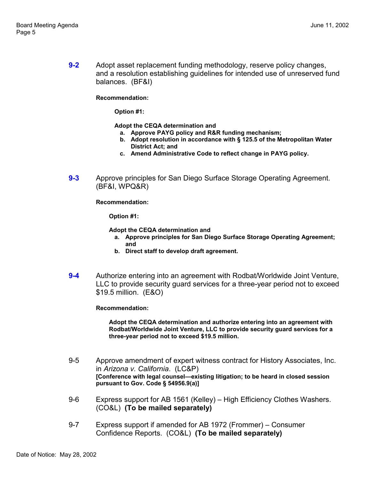**9-2** Adopt asset replacement funding methodology, reserve policy changes, and a resolution establishing guidelines for intended use of unreserved fund balances. (BF&I)

**Recommendation:**

**Option #1:**

**Adopt the CEQA determination and**

- **a. Approve PAYG policy and R&R funding mechanism;**
- **b. Adopt resolution in accordance with § 125.5 of the Metropolitan Water District Act; and**
- **c. Amend Administrative Code to reflect change in PAYG policy.**
- **9-3** Approve principles for San Diego Surface Storage Operating Agreement. (BF&I, WPQ&R)

**Recommendation:**

**Option #1:**

- **Adopt the CEQA determination and**
	- **a. Approve principles for San Diego Surface Storage Operating Agreement; and**
	- **b. Direct staff to develop draft agreement.**
- **9-4** Authorize entering into an agreement with Rodbat/Worldwide Joint Venture, LLC to provide security guard services for a three-year period not to exceed \$19.5 million. (E&O)

**Recommendation:**

**Adopt the CEQA determination and authorize entering into an agreement with Rodbat/Worldwide Joint Venture, LLC to provide security guard services for a three-year period not to exceed \$19.5 million.**

- 9-5 Approve amendment of expert witness contract for History Associates, Inc. in *Arizona v. California*. (LC&P) **[Conference with legal counsel—existing litigation; to be heard in closed session pursuant to Gov. Code § 54956.9(a)]**
- 9-6 Express support for AB 1561 (Kelley) High Efficiency Clothes Washers. (CO&L) **(To be mailed separately)**
- 9-7 Express support if amended for AB 1972 (Frommer) Consumer Confidence Reports. (CO&L) **(To be mailed separately)**